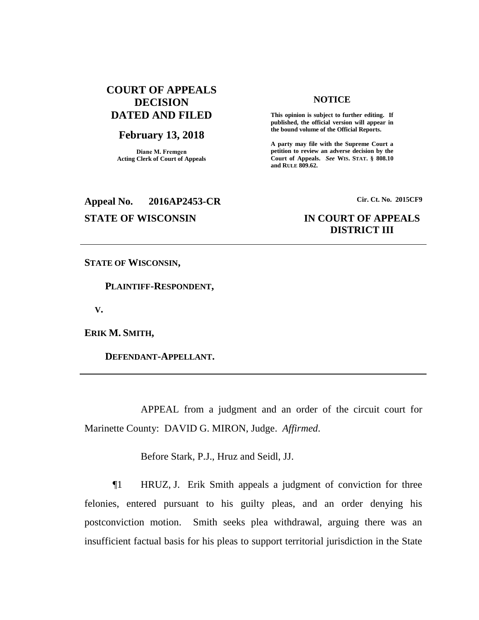# **COURT OF APPEALS DECISION DATED AND FILED**

## **February 13, 2018**

**Diane M. Fremgen Acting Clerk of Court of Appeals**

# **NOTICE**

**This opinion is subject to further editing. If published, the official version will appear in the bound volume of the Official Reports.** 

**A party may file with the Supreme Court a petition to review an adverse decision by the Court of Appeals.** *See* **WIS. STAT. § 808.10 and RULE 809.62.** 

# **Appeal No. 2016AP2453-CR Cir. Ct. No. 2015CF9**

# **STATE OF WISCONSIN IN COURT OF APPEALS DISTRICT III**

**STATE OF WISCONSIN,**

 **PLAINTIFF-RESPONDENT,**

 **V.**

**ERIK M. SMITH,**

 **DEFENDANT-APPELLANT.**

APPEAL from a judgment and an order of the circuit court for Marinette County: DAVID G. MIRON, Judge. *Affirmed*.

Before Stark, P.J., Hruz and Seidl, JJ.

¶1 HRUZ, J. Erik Smith appeals a judgment of conviction for three felonies, entered pursuant to his guilty pleas, and an order denying his postconviction motion. Smith seeks plea withdrawal, arguing there was an insufficient factual basis for his pleas to support territorial jurisdiction in the State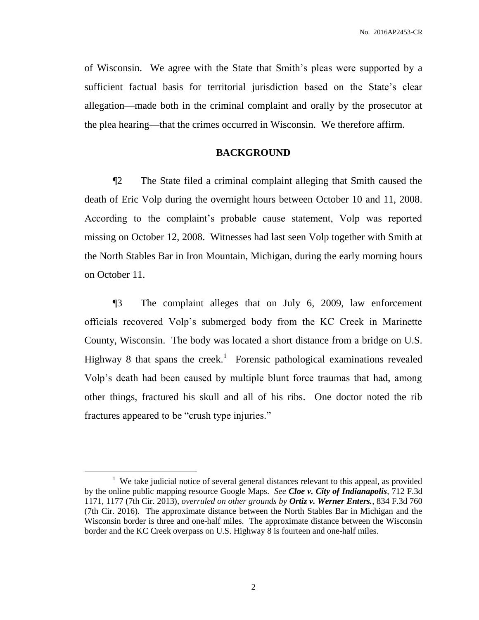of Wisconsin. We agree with the State that Smith's pleas were supported by a sufficient factual basis for territorial jurisdiction based on the State's clear allegation—made both in the criminal complaint and orally by the prosecutor at the plea hearing—that the crimes occurred in Wisconsin. We therefore affirm.

# **BACKGROUND**

¶2 The State filed a criminal complaint alleging that Smith caused the death of Eric Volp during the overnight hours between October 10 and 11, 2008. According to the complaint's probable cause statement, Volp was reported missing on October 12, 2008. Witnesses had last seen Volp together with Smith at the North Stables Bar in Iron Mountain, Michigan, during the early morning hours on October 11.

¶3 The complaint alleges that on July 6, 2009, law enforcement officials recovered Volp's submerged body from the KC Creek in Marinette County, Wisconsin. The body was located a short distance from a bridge on U.S. Highway 8 that spans the creek.<sup>1</sup> Forensic pathological examinations revealed Volp's death had been caused by multiple blunt force traumas that had, among other things, fractured his skull and all of his ribs. One doctor noted the rib fractures appeared to be "crush type injuries."

<sup>&</sup>lt;sup>1</sup> We take judicial notice of several general distances relevant to this appeal, as provided by the online public mapping resource Google Maps. *See Cloe v. City of Indianapolis*, 712 F.3d 1171, 1177 (7th Cir. 2013), *overruled on other grounds by Ortiz v. Werner Enters.*, 834 F.3d 760 (7th Cir. 2016). The approximate distance between the North Stables Bar in Michigan and the Wisconsin border is three and one-half miles. The approximate distance between the Wisconsin border and the KC Creek overpass on U.S. Highway 8 is fourteen and one-half miles.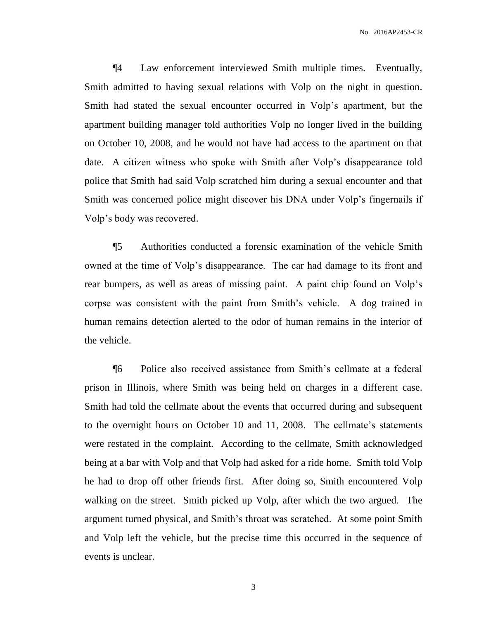¶4 Law enforcement interviewed Smith multiple times. Eventually, Smith admitted to having sexual relations with Volp on the night in question. Smith had stated the sexual encounter occurred in Volp's apartment, but the apartment building manager told authorities Volp no longer lived in the building on October 10, 2008, and he would not have had access to the apartment on that date. A citizen witness who spoke with Smith after Volp's disappearance told police that Smith had said Volp scratched him during a sexual encounter and that Smith was concerned police might discover his DNA under Volp's fingernails if Volp's body was recovered.

¶5 Authorities conducted a forensic examination of the vehicle Smith owned at the time of Volp's disappearance. The car had damage to its front and rear bumpers, as well as areas of missing paint. A paint chip found on Volp's corpse was consistent with the paint from Smith's vehicle. A dog trained in human remains detection alerted to the odor of human remains in the interior of the vehicle.

¶6 Police also received assistance from Smith's cellmate at a federal prison in Illinois, where Smith was being held on charges in a different case. Smith had told the cellmate about the events that occurred during and subsequent to the overnight hours on October 10 and 11, 2008. The cellmate's statements were restated in the complaint. According to the cellmate, Smith acknowledged being at a bar with Volp and that Volp had asked for a ride home. Smith told Volp he had to drop off other friends first. After doing so, Smith encountered Volp walking on the street. Smith picked up Volp, after which the two argued. The argument turned physical, and Smith's throat was scratched. At some point Smith and Volp left the vehicle, but the precise time this occurred in the sequence of events is unclear.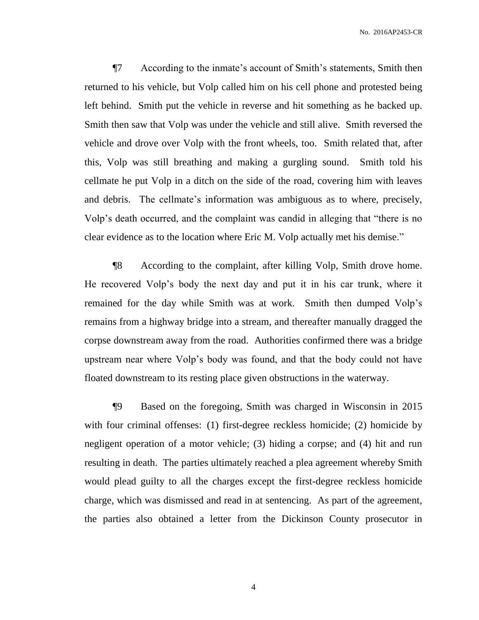¶7 According to the inmate's account of Smith's statements, Smith then returned to his vehicle, but Volp called him on his cell phone and protested being left behind. Smith put the vehicle in reverse and hit something as he backed up. Smith then saw that Volp was under the vehicle and still alive. Smith reversed the vehicle and drove over Volp with the front wheels, too. Smith related that, after this, Volp was still breathing and making a gurgling sound. Smith told his cellmate he put Volp in a ditch on the side of the road, covering him with leaves and debris. The cellmate's information was ambiguous as to where, precisely, Volp's death occurred, and the complaint was candid in alleging that "there is no clear evidence as to the location where Eric M. Volp actually met his demise."

¶8 According to the complaint, after killing Volp, Smith drove home. He recovered Volp's body the next day and put it in his car trunk, where it remained for the day while Smith was at work. Smith then dumped Volp's remains from a highway bridge into a stream, and thereafter manually dragged the corpse downstream away from the road. Authorities confirmed there was a bridge upstream near where Volp's body was found, and that the body could not have floated downstream to its resting place given obstructions in the waterway.

¶9 Based on the foregoing, Smith was charged in Wisconsin in 2015 with four criminal offenses: (1) first-degree reckless homicide; (2) homicide by negligent operation of a motor vehicle; (3) hiding a corpse; and (4) hit and run resulting in death. The parties ultimately reached a plea agreement whereby Smith would plead guilty to all the charges except the first-degree reckless homicide charge, which was dismissed and read in at sentencing. As part of the agreement, the parties also obtained a letter from the Dickinson County prosecutor in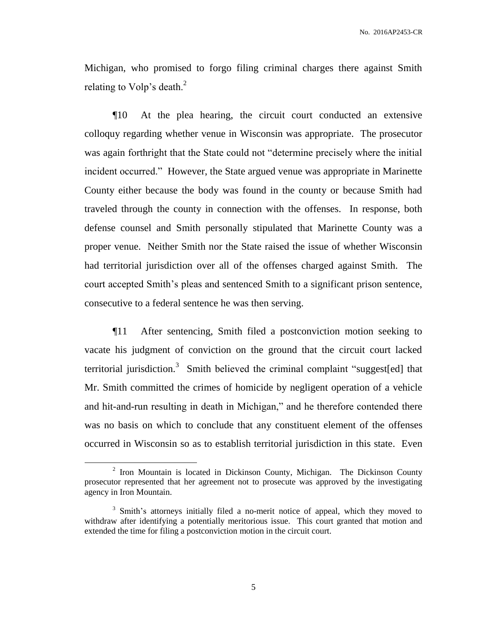Michigan, who promised to forgo filing criminal charges there against Smith relating to Volp's death. $2$ 

¶10 At the plea hearing, the circuit court conducted an extensive colloquy regarding whether venue in Wisconsin was appropriate. The prosecutor was again forthright that the State could not "determine precisely where the initial incident occurred." However, the State argued venue was appropriate in Marinette County either because the body was found in the county or because Smith had traveled through the county in connection with the offenses. In response, both defense counsel and Smith personally stipulated that Marinette County was a proper venue. Neither Smith nor the State raised the issue of whether Wisconsin had territorial jurisdiction over all of the offenses charged against Smith. The court accepted Smith's pleas and sentenced Smith to a significant prison sentence, consecutive to a federal sentence he was then serving.

¶11 After sentencing, Smith filed a postconviction motion seeking to vacate his judgment of conviction on the ground that the circuit court lacked territorial jurisdiction.<sup>3</sup> Smith believed the criminal complaint "suggest[ed] that Mr. Smith committed the crimes of homicide by negligent operation of a vehicle and hit-and-run resulting in death in Michigan," and he therefore contended there was no basis on which to conclude that any constituent element of the offenses occurred in Wisconsin so as to establish territorial jurisdiction in this state. Even

 $2$  Iron Mountain is located in Dickinson County, Michigan. The Dickinson County prosecutor represented that her agreement not to prosecute was approved by the investigating agency in Iron Mountain.

<sup>&</sup>lt;sup>3</sup> Smith's attorneys initially filed a no-merit notice of appeal, which they moved to withdraw after identifying a potentially meritorious issue. This court granted that motion and extended the time for filing a postconviction motion in the circuit court.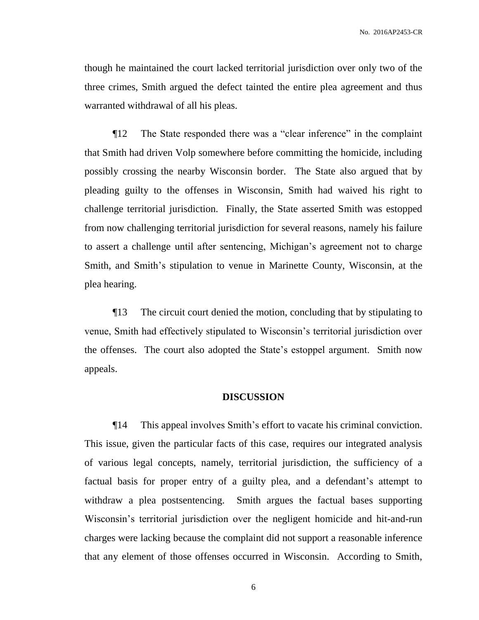though he maintained the court lacked territorial jurisdiction over only two of the three crimes, Smith argued the defect tainted the entire plea agreement and thus warranted withdrawal of all his pleas.

¶12 The State responded there was a "clear inference" in the complaint that Smith had driven Volp somewhere before committing the homicide, including possibly crossing the nearby Wisconsin border. The State also argued that by pleading guilty to the offenses in Wisconsin, Smith had waived his right to challenge territorial jurisdiction. Finally, the State asserted Smith was estopped from now challenging territorial jurisdiction for several reasons, namely his failure to assert a challenge until after sentencing, Michigan's agreement not to charge Smith, and Smith's stipulation to venue in Marinette County, Wisconsin, at the plea hearing.

¶13 The circuit court denied the motion, concluding that by stipulating to venue, Smith had effectively stipulated to Wisconsin's territorial jurisdiction over the offenses. The court also adopted the State's estoppel argument. Smith now appeals.

### **DISCUSSION**

¶14 This appeal involves Smith's effort to vacate his criminal conviction. This issue, given the particular facts of this case, requires our integrated analysis of various legal concepts, namely, territorial jurisdiction, the sufficiency of a factual basis for proper entry of a guilty plea, and a defendant's attempt to withdraw a plea postsentencing. Smith argues the factual bases supporting Wisconsin's territorial jurisdiction over the negligent homicide and hit-and-run charges were lacking because the complaint did not support a reasonable inference that any element of those offenses occurred in Wisconsin. According to Smith,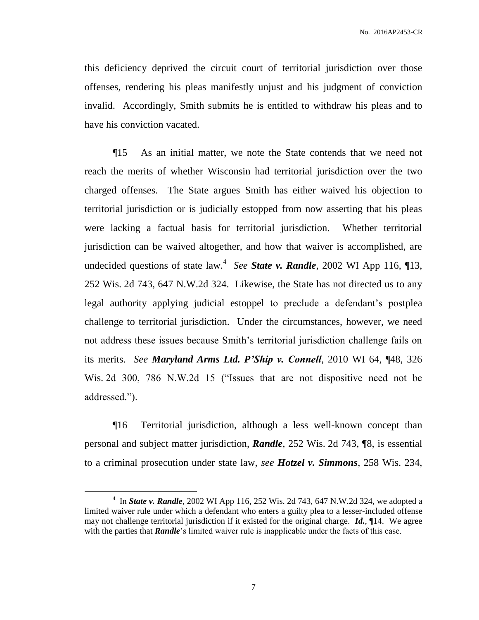this deficiency deprived the circuit court of territorial jurisdiction over those offenses, rendering his pleas manifestly unjust and his judgment of conviction invalid. Accordingly, Smith submits he is entitled to withdraw his pleas and to have his conviction vacated.

¶15 As an initial matter, we note the State contends that we need not reach the merits of whether Wisconsin had territorial jurisdiction over the two charged offenses. The State argues Smith has either waived his objection to territorial jurisdiction or is judicially estopped from now asserting that his pleas were lacking a factual basis for territorial jurisdiction. Whether territorial jurisdiction can be waived altogether, and how that waiver is accomplished, are undecided questions of state law.<sup>4</sup> *See State v. Randle*, 2002 WI App 116, ¶13, 252 Wis. 2d 743, 647 N.W.2d 324. Likewise, the State has not directed us to any legal authority applying judicial estoppel to preclude a defendant's postplea challenge to territorial jurisdiction. Under the circumstances, however, we need not address these issues because Smith's territorial jurisdiction challenge fails on its merits. *See Maryland Arms Ltd. P'Ship v. Connell*, 2010 WI 64, ¶48, 326 Wis. 2d 300, 786 N.W.2d 15 ("Issues that are not dispositive need not be addressed.").

¶16 Territorial jurisdiction, although a less well-known concept than personal and subject matter jurisdiction, *Randle*, 252 Wis. 2d 743, ¶8, is essential to a criminal prosecution under state law, *see Hotzel v. Simmons*, 258 Wis. 234,

 $\overline{a}$ 

<sup>4</sup> In *State v. Randle*, 2002 WI App 116, 252 Wis. 2d 743, 647 N.W.2d 324, we adopted a limited waiver rule under which a defendant who enters a guilty plea to a lesser-included offense may not challenge territorial jurisdiction if it existed for the original charge. *Id.*, ¶14. We agree with the parties that *Randle*'s limited waiver rule is inapplicable under the facts of this case.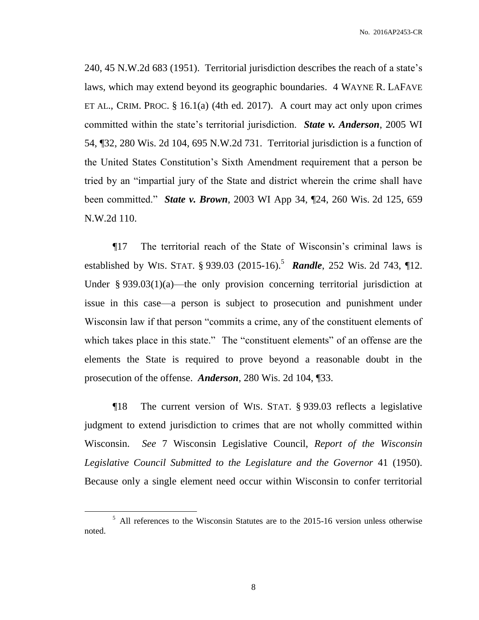240, 45 N.W.2d 683 (1951). Territorial jurisdiction describes the reach of a state's laws, which may extend beyond its geographic boundaries. 4 WAYNE R. LAFAVE ET AL., CRIM. PROC.  $\S 16.1(a)$  (4th ed. 2017). A court may act only upon crimes committed within the state's territorial jurisdiction. *State v. Anderson*, 2005 WI 54, ¶32, 280 Wis. 2d 104, 695 N.W.2d 731. Territorial jurisdiction is a function of the United States Constitution's Sixth Amendment requirement that a person be tried by an "impartial jury of the State and district wherein the crime shall have been committed." *State v. Brown*, 2003 WI App 34, ¶24, 260 Wis. 2d 125, 659 N.W.2d 110.

¶17 The territorial reach of the State of Wisconsin's criminal laws is established by WIS. STAT. § 939.03 (2015-16). 5 *Randle*, 252 Wis. 2d 743, ¶12. Under  $\S 939.03(1)(a)$ —the only provision concerning territorial jurisdiction at issue in this case—a person is subject to prosecution and punishment under Wisconsin law if that person "commits a crime, any of the constituent elements of which takes place in this state." The "constituent elements" of an offense are the elements the State is required to prove beyond a reasonable doubt in the prosecution of the offense. *Anderson*, 280 Wis. 2d 104, ¶33.

¶18 The current version of WIS. STAT. § 939.03 reflects a legislative judgment to extend jurisdiction to crimes that are not wholly committed within Wisconsin. *See* 7 Wisconsin Legislative Council, *Report of the Wisconsin Legislative Council Submitted to the Legislature and the Governor* 41 (1950). Because only a single element need occur within Wisconsin to confer territorial

<sup>&</sup>lt;sup>5</sup> All references to the Wisconsin Statutes are to the 2015-16 version unless otherwise noted.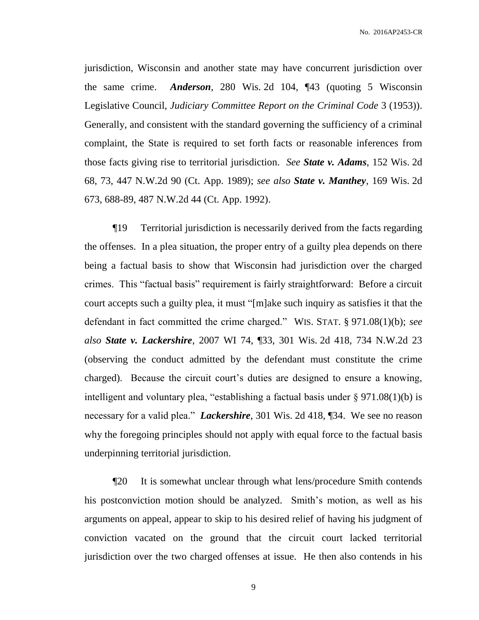jurisdiction, Wisconsin and another state may have concurrent jurisdiction over the same crime. *Anderson*, 280 Wis. 2d 104, ¶43 (quoting 5 Wisconsin Legislative Council, *Judiciary Committee Report on the Criminal Code* 3 (1953)). Generally, and consistent with the standard governing the sufficiency of a criminal complaint, the State is required to set forth facts or reasonable inferences from those facts giving rise to territorial jurisdiction. *See State v. Adams*, 152 Wis. 2d 68, 73, 447 N.W.2d 90 (Ct. App. 1989); *see also State v. Manthey*, 169 Wis. 2d 673, 688-89, 487 N.W.2d 44 (Ct. App. 1992).

¶19 Territorial jurisdiction is necessarily derived from the facts regarding the offenses. In a plea situation, the proper entry of a guilty plea depends on there being a factual basis to show that Wisconsin had jurisdiction over the charged crimes. This "factual basis" requirement is fairly straightforward: Before a circuit court accepts such a guilty plea, it must "[m]ake such inquiry as satisfies it that the defendant in fact committed the crime charged." WIS. STAT. § 971.08(1)(b); *see also State v. Lackershire*, 2007 WI 74, ¶33, 301 Wis. 2d 418, 734 N.W.2d 23 (observing the conduct admitted by the defendant must constitute the crime charged). Because the circuit court's duties are designed to ensure a knowing, intelligent and voluntary plea, "establishing a factual basis under  $\S 971.08(1)(b)$  is necessary for a valid plea." *Lackershire*, 301 Wis. 2d 418, ¶34. We see no reason why the foregoing principles should not apply with equal force to the factual basis underpinning territorial jurisdiction.

¶20 It is somewhat unclear through what lens/procedure Smith contends his postconviction motion should be analyzed. Smith's motion, as well as his arguments on appeal, appear to skip to his desired relief of having his judgment of conviction vacated on the ground that the circuit court lacked territorial jurisdiction over the two charged offenses at issue. He then also contends in his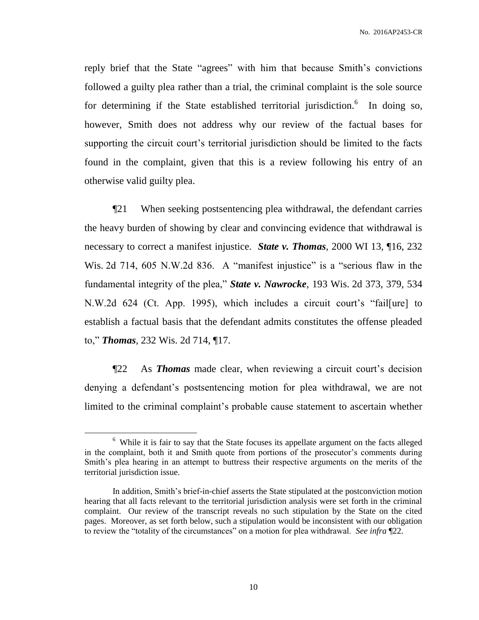reply brief that the State "agrees" with him that because Smith's convictions followed a guilty plea rather than a trial, the criminal complaint is the sole source for determining if the State established territorial jurisdiction. In doing so, however, Smith does not address why our review of the factual bases for supporting the circuit court's territorial jurisdiction should be limited to the facts found in the complaint, given that this is a review following his entry of an otherwise valid guilty plea.

¶21 When seeking postsentencing plea withdrawal, the defendant carries the heavy burden of showing by clear and convincing evidence that withdrawal is necessary to correct a manifest injustice. *State v. Thomas*, 2000 WI 13, ¶16, 232 Wis. 2d 714, 605 N.W.2d 836. A "manifest injustice" is a "serious flaw in the fundamental integrity of the plea," *State v. Nawrocke*, 193 Wis. 2d 373, 379, 534 N.W.2d 624 (Ct. App. 1995), which includes a circuit court's "fail[ure] to establish a factual basis that the defendant admits constitutes the offense pleaded to," *Thomas*, 232 Wis. 2d 714, ¶17.

¶22 As *Thomas* made clear, when reviewing a circuit court's decision denying a defendant's postsentencing motion for plea withdrawal, we are not limited to the criminal complaint's probable cause statement to ascertain whether

<sup>&</sup>lt;sup>6</sup> While it is fair to say that the State focuses its appellate argument on the facts alleged in the complaint, both it and Smith quote from portions of the prosecutor's comments during Smith's plea hearing in an attempt to buttress their respective arguments on the merits of the territorial jurisdiction issue.

In addition, Smith's brief-in-chief asserts the State stipulated at the postconviction motion hearing that all facts relevant to the territorial jurisdiction analysis were set forth in the criminal complaint. Our review of the transcript reveals no such stipulation by the State on the cited pages. Moreover, as set forth below, such a stipulation would be inconsistent with our obligation to review the "totality of the circumstances" on a motion for plea withdrawal. *See infra* ¶22.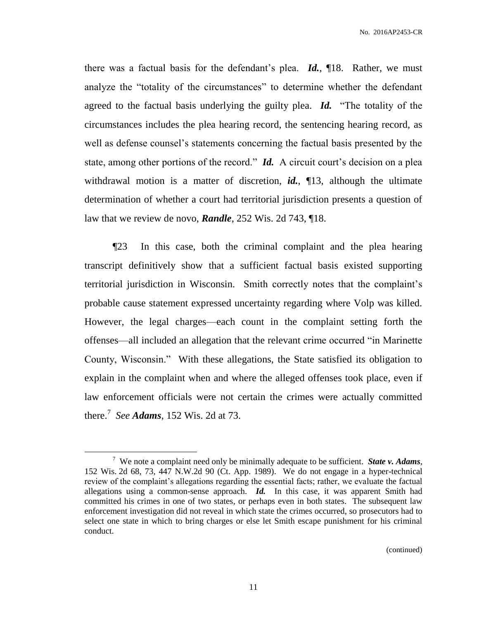there was a factual basis for the defendant's plea. *Id.*, ¶18. Rather, we must analyze the "totality of the circumstances" to determine whether the defendant agreed to the factual basis underlying the guilty plea. *Id.* "The totality of the circumstances includes the plea hearing record, the sentencing hearing record, as well as defense counsel's statements concerning the factual basis presented by the state, among other portions of the record." *Id.* A circuit court's decision on a plea withdrawal motion is a matter of discretion, *id.*, ¶13, although the ultimate determination of whether a court had territorial jurisdiction presents a question of law that we review de novo, *Randle*, 252 Wis. 2d 743, ¶18.

¶23 In this case, both the criminal complaint and the plea hearing transcript definitively show that a sufficient factual basis existed supporting territorial jurisdiction in Wisconsin. Smith correctly notes that the complaint's probable cause statement expressed uncertainty regarding where Volp was killed. However, the legal charges—each count in the complaint setting forth the offenses—all included an allegation that the relevant crime occurred "in Marinette County, Wisconsin." With these allegations, the State satisfied its obligation to explain in the complaint when and where the alleged offenses took place, even if law enforcement officials were not certain the crimes were actually committed there. 7 *See Adams*, 152 Wis. 2d at 73.

 $\overline{a}$ 

(continued)

<sup>7</sup> We note a complaint need only be minimally adequate to be sufficient. *State v. Adams*, 152 Wis. 2d 68, 73, 447 N.W.2d 90 (Ct. App. 1989). We do not engage in a hyper-technical review of the complaint's allegations regarding the essential facts; rather, we evaluate the factual allegations using a common-sense approach. *Id.* In this case, it was apparent Smith had committed his crimes in one of two states, or perhaps even in both states. The subsequent law enforcement investigation did not reveal in which state the crimes occurred, so prosecutors had to select one state in which to bring charges or else let Smith escape punishment for his criminal conduct.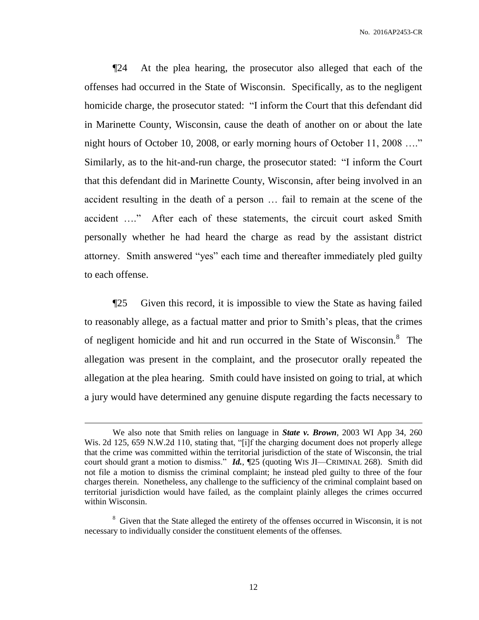¶24 At the plea hearing, the prosecutor also alleged that each of the offenses had occurred in the State of Wisconsin. Specifically, as to the negligent homicide charge, the prosecutor stated: "I inform the Court that this defendant did in Marinette County, Wisconsin, cause the death of another on or about the late night hours of October 10, 2008, or early morning hours of October 11, 2008 …." Similarly, as to the hit-and-run charge, the prosecutor stated: "I inform the Court that this defendant did in Marinette County, Wisconsin, after being involved in an accident resulting in the death of a person … fail to remain at the scene of the accident …." After each of these statements, the circuit court asked Smith personally whether he had heard the charge as read by the assistant district attorney. Smith answered "yes" each time and thereafter immediately pled guilty to each offense.

¶25 Given this record, it is impossible to view the State as having failed to reasonably allege, as a factual matter and prior to Smith's pleas, that the crimes of negligent homicide and hit and run occurred in the State of Wisconsin.<sup>8</sup> The allegation was present in the complaint, and the prosecutor orally repeated the allegation at the plea hearing. Smith could have insisted on going to trial, at which a jury would have determined any genuine dispute regarding the facts necessary to

We also note that Smith relies on language in *State v. Brown*, 2003 WI App 34, 260 Wis. 2d 125, 659 N.W.2d 110, stating that, "[i]f the charging document does not properly allege that the crime was committed within the territorial jurisdiction of the state of Wisconsin, the trial court should grant a motion to dismiss." *Id.*, ¶25 (quoting WIS JI—CRIMINAL 268). Smith did not file a motion to dismiss the criminal complaint; he instead pled guilty to three of the four charges therein. Nonetheless, any challenge to the sufficiency of the criminal complaint based on territorial jurisdiction would have failed, as the complaint plainly alleges the crimes occurred within Wisconsin.

<sup>&</sup>lt;sup>8</sup> Given that the State alleged the entirety of the offenses occurred in Wisconsin, it is not necessary to individually consider the constituent elements of the offenses.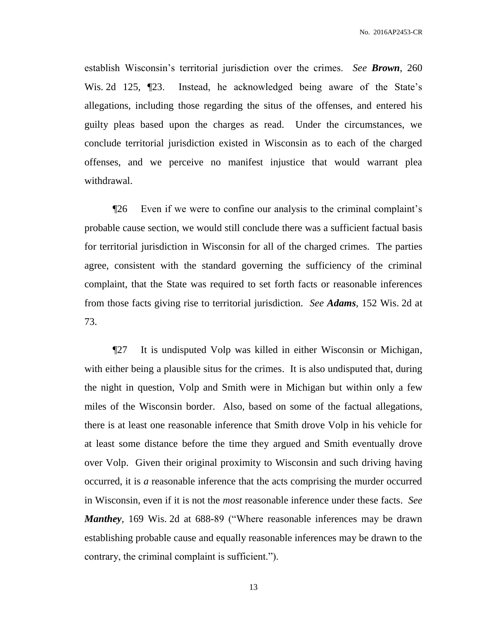establish Wisconsin's territorial jurisdiction over the crimes. *See Brown*, 260 Wis. 2d 125, ¶23. Instead, he acknowledged being aware of the State's allegations, including those regarding the situs of the offenses, and entered his guilty pleas based upon the charges as read. Under the circumstances, we conclude territorial jurisdiction existed in Wisconsin as to each of the charged offenses, and we perceive no manifest injustice that would warrant plea withdrawal.

¶26 Even if we were to confine our analysis to the criminal complaint's probable cause section, we would still conclude there was a sufficient factual basis for territorial jurisdiction in Wisconsin for all of the charged crimes. The parties agree, consistent with the standard governing the sufficiency of the criminal complaint, that the State was required to set forth facts or reasonable inferences from those facts giving rise to territorial jurisdiction. *See Adams*, 152 Wis. 2d at 73.

¶27 It is undisputed Volp was killed in either Wisconsin or Michigan, with either being a plausible situs for the crimes. It is also undisputed that, during the night in question, Volp and Smith were in Michigan but within only a few miles of the Wisconsin border. Also, based on some of the factual allegations, there is at least one reasonable inference that Smith drove Volp in his vehicle for at least some distance before the time they argued and Smith eventually drove over Volp. Given their original proximity to Wisconsin and such driving having occurred, it is *a* reasonable inference that the acts comprising the murder occurred in Wisconsin, even if it is not the *most* reasonable inference under these facts. *See Manthey*, 169 Wis. 2d at 688-89 ("Where reasonable inferences may be drawn establishing probable cause and equally reasonable inferences may be drawn to the contrary, the criminal complaint is sufficient.").